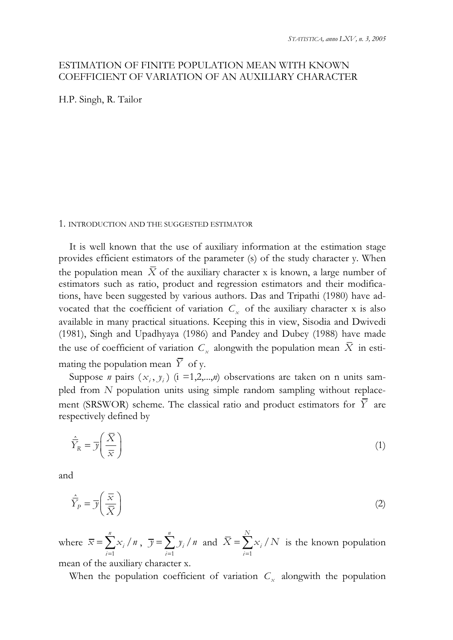# ESTIMATION OF FINITE POPULATION MEAN WITH KNOWN COEFFICIENT OF VARIATION OF AN AUXILIARY CHARACTER

H.P. Singh, R. Tailor

## 1. INTRODUCTION AND THE SUGGESTED ESTIMATOR

It is well known that the use of auxiliary information at the estimation stage provides efficient estimators of the parameter (s) of the study character y. When the population mean  $\bar{X}$  of the auxiliary character x is known, a large number of estimators such as ratio, product and regression estimators and their modifications, have been suggested by various authors. Das and Tripathi (1980) have advocated that the coefficient of variation  $C_x$  of the auxiliary character x is also available in many practical situations. Keeping this in view, Sisodia and Dwivedi (1981), Singh and Upadhyaya (1986) and Pandey and Dubey (1988) have made the use of coefficient of variation *C<sup>x</sup>* alongwith the population mean *X* in estimating the population mean  $\overline{Y}$  of y.

Suppose *n* pairs  $(x_i, y_i)$  (i =1,2,...,*n*) observations are taken on n units sampled from *N* population units using simple random sampling without replacement (SRSWOR) scheme. The classical ratio and product estimators for  $\overline{Y}$  are respectively defined by

$$
\hat{\overline{Y}}_R = \overline{y} \left( \frac{\overline{X}}{\overline{x}} \right) \tag{1}
$$

and

$$
\hat{\overline{Y}}_P = \overline{y} \left( \frac{\overline{x}}{\overline{X}} \right) \tag{2}
$$

where 1 / *n i i*  $\overline{x} = \sum x_i / n$  $=$  $=\sum x_i / n$ , 1 / *n i i*  $\overline{y} = \sum y_i / n$  $=$  $=\sum y_i / n$  and 1 / *N i i*  $X = \sum x_i / N$  $=$  $=\sum x_i/N$  is the known population

mean of the auxiliary character x.

When the population coefficient of variation  $C_x$  alongwith the population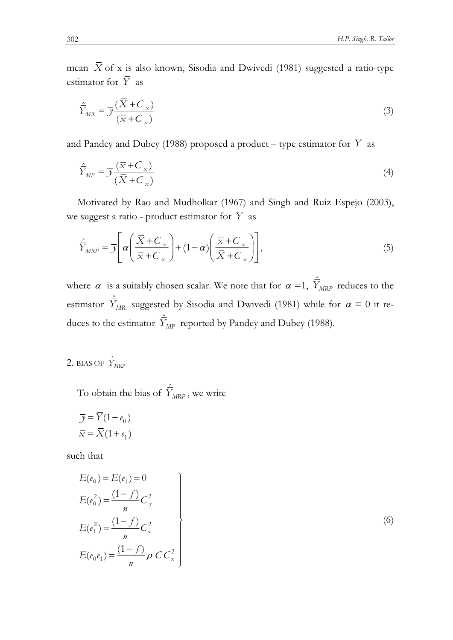mean  $\bar{X}$  of x is also known, Sisodia and Dwivedi (1981) suggested a ratio-type estimator for  $\overline{Y}$  as

$$
\hat{\overline{Y}}_{MR} = \overline{\mathcal{Y}} \frac{(\overline{X} + \overline{C}_x)}{(\overline{x} + \overline{C}_x)}
$$
\n(3)

and Pandey and Dubey (1988) proposed a product – type estimator for  $\overline{Y}$  as

$$
\hat{\overline{Y}}_{MP} = \overline{\mathcal{Y}} \frac{(\overline{x} + C_{x})}{(\overline{X} + C_{x})}
$$
\n(4)

Motivated by Rao and Mudholkar (1967) and Singh and Ruiz Espejo (2003), we suggest a ratio - product estimator for *Y* as

$$
\hat{\overline{Y}}_{MRP} = \overline{y} \left[ \alpha \left( \frac{\overline{X} + C_{\overline{x}}}{\overline{x} + C_{\overline{x}}} \right) + (1 - \alpha) \left( \frac{\overline{x} + C_{\overline{x}}}{\overline{X} + C_{\overline{x}}} \right) \right],
$$
\n(5)

where  $\alpha$  is a suitably chosen scalar. We note that for  $\alpha =1$ ,  $\hat{Y}_{MRP}$  reduces to the estimator  $\hat{\overline{Y}}_{MR}$  suggested by Sisodia and Dwivedi (1981) while for  $\alpha = 0$  it reduces to the estimator  $\hat{\bar{Y}}_{MP}$  reported by Pandey and Dubey (1988).

2. BIAS OF  $\hat{\bar{Y}}_{MRF}$ 

To obtain the bias of  $\hat{\overline{Y}}_{MRP}$ , we write

$$
\overline{y} = \overline{Y}(1 + e_0)
$$

$$
\overline{x} = \overline{X}(1 + e_1)
$$

such that

$$
E(e_0) = E(e_1) = 0
$$
  
\n
$$
E(e_0^2) = \frac{(1-f)}{n}C_y^2
$$
  
\n
$$
E(e_1^2) = \frac{(1-f)}{n}C_x^2
$$
  
\n
$$
E(e_0e_1) = \frac{(1-f)}{n}\rho CC_x^2
$$
 (6)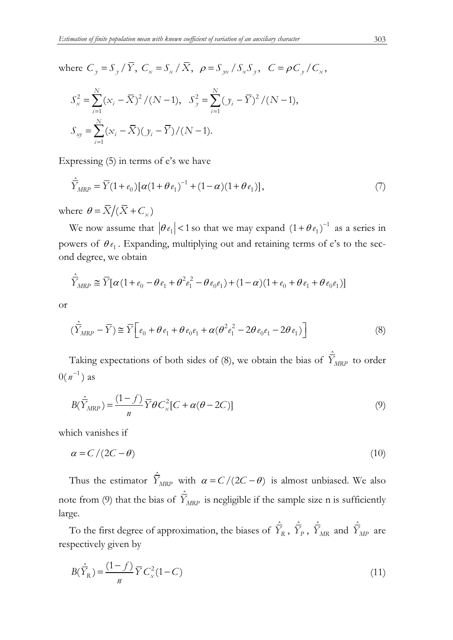where  $C_y = S_y / \overline{Y}$ ,  $C_x = S_x / \overline{X}$ ,  $\rho = S_{yx} / S_x S_y$ ,  $C = \rho C_y / C_x$ ,

$$
S_x^2 = \sum_{i=1}^N (x_i - \overline{X})^2 / (N - 1), \quad S_y^2 = \sum_{i=1}^N (y_i - \overline{Y})^2 / (N - 1),
$$
  

$$
S_{xy} = \sum_{i=1}^N (x_i - \overline{X})(y_i - \overline{Y}) / (N - 1).
$$

Expressing (5) in terms of e's we have

$$
\hat{\overline{Y}}_{MRP} = \overline{Y}(1 + e_0) [\alpha (1 + \theta e_1)^{-1} + (1 - \alpha)(1 + \theta e_1)],
$$
\n(7)

where  $\theta = \overline{X}/(\overline{X} + C_x)$ 

We now assume that  $|\theta e_1| < 1$  so that we may expand  $(1 + \theta e_1)^{-1}$  as a series in powers of  $\theta_{\ell_1}$ . Expanding, multiplying out and retaining terms of e's to the second degree, we obtain

$$
\hat{\overline{Y}}_{MRP} \cong \overline{Y} [\alpha (1 + e_0 - \theta e_1 + \theta^2 e_1^2 - \theta e_0 e_1) + (1 - \alpha)(1 + e_0 + \theta e_1 + \theta e_0 e_1)]
$$

or

$$
(\hat{\overline{Y}}_{MRP} - \overline{Y}) \cong \overline{Y} \Big[ e_0 + \theta e_1 + \theta e_0 e_1 + \alpha (\theta^2 e_1^2 - 2\theta e_0 e_1 - 2\theta e_1) \Big] \tag{8}
$$

Taking expectations of both sides of (8), we obtain the bias of  $\hat{Y}_{MRP}$  to order  $0(n^{-1})$  as

$$
B(\hat{\overline{Y}}_{MRP}) = \frac{(1-f)}{n} \overline{Y} \theta C_x^2 [C + \alpha(\theta - 2C)] \tag{9}
$$

which vanishes if

$$
\alpha = C/(2C - \theta) \tag{10}
$$

Thus the estimator  $\hat{Y}_{MRP}$  with  $\alpha = C/(2C - \theta)$  is almost unbiased. We also note from (9) that the bias of  $\hat{\overline{Y}}_{MRP}$  is negligible if the sample size n is sufficiently large.

To the first degree of approximation, the biases of  $\hat{\overline{Y}}_R$ ,  $\hat{\overline{Y}}_P$ ,  $\hat{\overline{Y}}_{MR}$  and  $\hat{\overline{Y}}_{MP}$  are respectively given by

$$
B(\hat{\overline{Y}}_R) = \frac{(1-f)}{n} \overline{Y} C_x^2 (1-C)
$$
\n(11)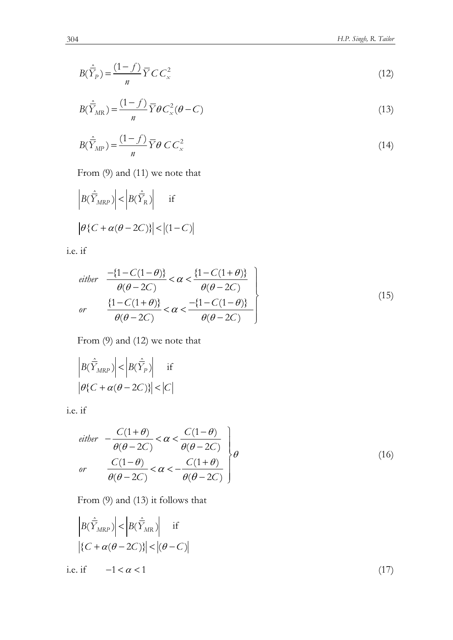$$
B(\hat{\overline{Y}}_P) = \frac{(1-f)}{n} \overline{Y} C C_x^2
$$
\n(12)

$$
B(\hat{\overline{Y}}_{MR}) = \frac{(1-f)}{n} \overline{Y} \theta C_x^2 (\theta - C)
$$
\n(13)

$$
B(\hat{\overline{Y}}_{MP}) = \frac{(1-f)}{n} \overline{Y} \theta \ C C_x^2 \tag{14}
$$

From (9) and (11) we note that

$$
\left| B(\hat{\overline{Y}}_{MRP}) \right| < \left| B(\hat{\overline{Y}}_{R}) \right| \quad \text{if}
$$
\n
$$
\left| \theta \left\{ C + \alpha (\theta - 2C) \right\} \right| < \left| (1 - C) \right|
$$

i.e. if

$$
either \frac{-\{1 - C(1 - \theta)\}}{\theta(\theta - 2C)} < \alpha < \frac{\{1 - C(1 + \theta)\}}{\theta(\theta - 2C)}
$$
\n
$$
or \frac{\{1 - C(1 + \theta)\}}{\theta(\theta - 2C)} < \alpha < \frac{-\{1 - C(1 - \theta)\}}{\theta(\theta - 2C)}
$$
\n
$$
\tag{15}
$$

From (9) and (12) we note that

$$
\left| B(\hat{\overline{Y}}_{MRP}) \right| < \left| B(\hat{\overline{Y}}_{P}) \right| \quad \text{if} \quad \left| \theta \{ C + \alpha(\theta - 2C) \} \right| < \left| C \right|
$$

i.e. if

$$
either \quad -\frac{C(1+\theta)}{\theta(\theta-2C)} < \alpha < \frac{C(1-\theta)}{\theta(\theta-2C)} \quad \theta
$$
\n
$$
or \quad \frac{C(1-\theta)}{\theta(\theta-2C)} < \alpha < -\frac{C(1+\theta)}{\theta(\theta-2C)} \quad \theta
$$
\n
$$
\tag{16}
$$

From (9) and (13) it follows that

$$
\left| B(\hat{\overline{Y}}_{MRP}) \right| < \left| B(\hat{\overline{Y}}_{MR}) \right| \quad \text{if}
$$
\n
$$
\left| \{ C + \alpha(\theta - 2C) \} \right| < \left| (\theta - C) \right|
$$
\ni.e. if

\n
$$
-1 < \alpha < 1 \tag{17}
$$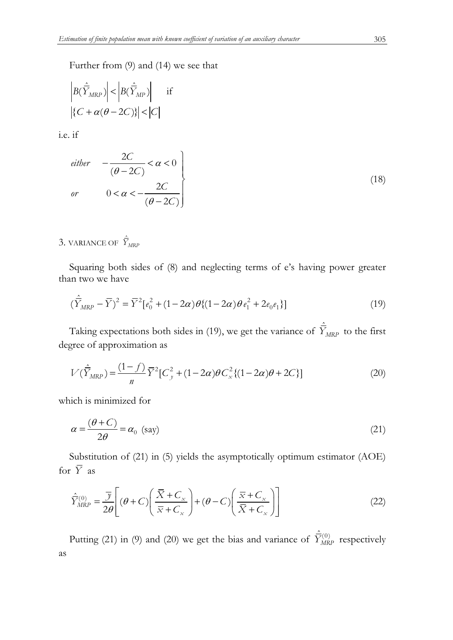Further from (9) and (14) we see that

$$
\left| B(\hat{\overline{Y}}_{MRP}) \right| < \left| B(\hat{\overline{Y}}_{MP}) \right| \quad \text{if} \quad \left| C + \alpha(\theta - 2C) \right| < |C|
$$

i.e. if

$$
\begin{aligned}\n\text{either} \quad & -\frac{2C}{(\theta - 2C)} < \alpha < 0 \\
\text{or} \quad & 0 < \alpha < -\frac{2C}{(\theta - 2C)}\n\end{aligned}\n\tag{18}
$$

3. VARIANCE OF  $\hat{\bar{Y}}_{MRP}$ 

Squaring both sides of (8) and neglecting terms of e's having power greater than two we have

$$
(\hat{\overline{Y}}_{MRP} - \overline{Y})^2 = \overline{Y}^2 [e_0^2 + (1 - 2\alpha)\theta \{(1 - 2\alpha)\theta e_1^2 + 2e_0 e_1\}]
$$
\n(19)

Taking expectations both sides in (19), we get the variance of  $\hat{\bar{Y}}_{MRP}$  to the first degree of approximation as

$$
V(\hat{\overline{Y}}_{MRP}) = \frac{(1-f)}{n} \overline{Y}^2 [C_y^2 + (1-2\alpha)\theta C_x^2 \{(1-2\alpha)\theta + 2C\}]
$$
 (20)

which is minimized for

$$
\alpha = \frac{(\theta + C)}{2\theta} = \alpha_0 \text{ (say)}
$$
\n(21)

Substitution of (21) in (5) yields the asymptotically optimum estimator (AOE) for  $\overline{Y}$  as

$$
\hat{\overline{Y}}_{MRP}^{(0)} = \frac{\overline{y}}{2\theta} \left[ (\theta + C) \left( \frac{\overline{X} + C_x}{\overline{x} + C_x} \right) + (\theta - C) \left( \frac{\overline{x} + C_x}{\overline{X} + C_x} \right) \right]
$$
(22)

Putting (21) in (9) and (20) we get the bias and variance of  $\hat{\overline{Y}}_{MRP}^{(0)}$  respectively as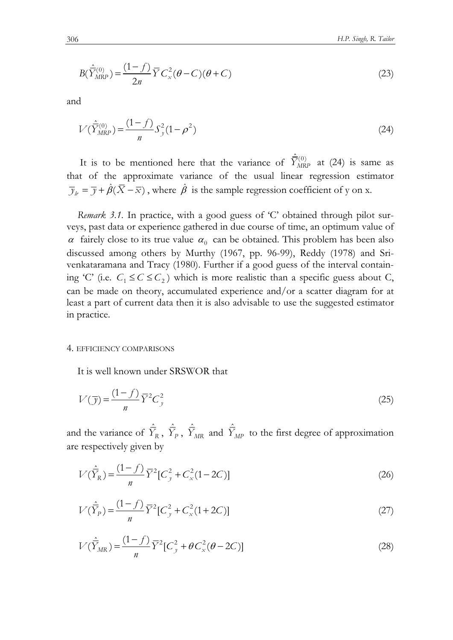$$
B(\hat{\bar{Y}}_{MRP}^{(0)}) = \frac{(1-f)}{2n} \bar{Y} C_x^2 (\theta - C)(\theta + C)
$$
 (23)

and

$$
V(\hat{\bar{Y}}_{MRP}^{(0)}) = \frac{(1-f)}{n} S_y^2 (1-\rho^2)
$$
\n(24)

It is to be mentioned here that the variance of  $\hat{Y}_{MRP}^{(0)}$  at (24) is same as that of the approximate variance of the usual linear regression estimator  $\overline{y}_h = \overline{y} + \hat{\beta}(\overline{X} - \overline{x})$ , where  $\hat{\beta}$  is the sample regression coefficient of y on x.

*Remark 3.1.* In practice, with a good guess of 'C' obtained through pilot surveys, past data or experience gathered in due course of time, an optimum value of  $\alpha$  fairely close to its true value  $\alpha_0$  can be obtained. This problem has been also discussed among others by Murthy (1967, pp. 96-99), Reddy (1978) and Srivenkataramana and Tracy (1980). Further if a good guess of the interval containing 'C' (i.e.  $C_1 \leq C \leq C_2$ ) which is more realistic than a specific guess about C, can be made on theory, accumulated experience and/or a scatter diagram for at least a part of current data then it is also advisable to use the suggested estimator in practice.

# 4. EFFICIENCY COMPARISONS

It is well known under SRSWOR that

$$
V(\overline{y}) = \frac{(1-f)}{n} \overline{Y}^2 C_y^2 \tag{25}
$$

and the variance of  $\hat{\overline{Y}}_R$ ,  $\hat{\overline{Y}}_P$ ,  $\hat{\overline{Y}}_{MR}$  and  $\hat{\overline{Y}}_{MP}$  to the first degree of approximation are respectively given by

$$
V(\hat{\overline{Y}}_R) = \frac{(1-f)}{n} \overline{Y}^2 [C_y^2 + C_x^2 (1 - 2C)]
$$
 (26)

$$
V(\hat{\overline{Y}}_P) = \frac{(1-f)}{n} \overline{Y}^2 [C_y^2 + C_x^2 (1+2C)]
$$
 (27)

$$
V(\hat{\overline{Y}}_{MR}) = \frac{(1-f)}{n} \overline{Y}^2 [C_y^2 + \theta C_x^2 (\theta - 2C)]
$$
 (28)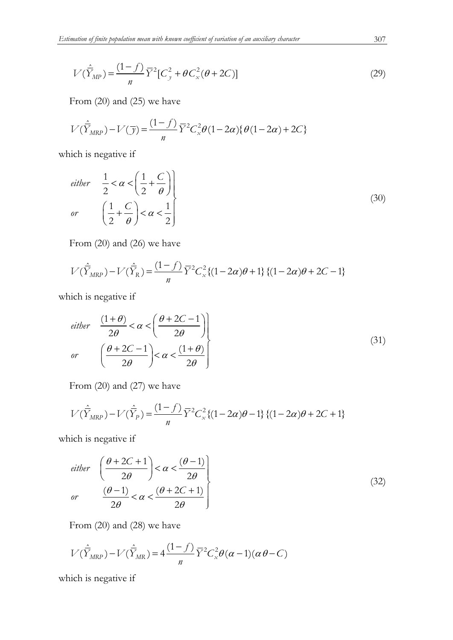$$
V(\hat{\overline{Y}}_{MP}) = \frac{(1-f)}{n} \overline{Y}^2 [C_y^2 + \theta C_x^2 (\theta + 2C)]
$$
 (29)

From (20) and (25) we have

$$
V(\hat{\overline{Y}}_{MRP}) - V(\overline{y}) = \frac{(1-f)}{n} \overline{Y}^2 C_x^2 \theta (1 - 2\alpha) \{ \theta (1 - 2\alpha) + 2C \}
$$

which is negative if

*either* 
$$
\frac{1}{2} < \alpha < \left(\frac{1}{2} + \frac{C}{\theta}\right)
$$
  
\n*or*  $\left(\frac{1}{2} + \frac{C}{\theta}\right) < \alpha < \frac{1}{2}$  (30)

From (20) and (26) we have

$$
V(\hat{\overline{Y}}_{MRP}) - V(\hat{\overline{Y}}_{R}) = \frac{(1-f)}{n} \overline{Y}^{2} C_{x}^{2} \{(1 - 2\alpha)\theta + 1\} \{(1 - 2\alpha)\theta + 2C - 1\}
$$

which is negative if

$$
either \quad \frac{(1+\theta)}{2\theta} < \alpha < \left(\frac{\theta+2C-1}{2\theta}\right) \nor \quad \left(\frac{\theta+2C-1}{2\theta}\right) < \alpha < \frac{(1+\theta)}{2\theta} \tag{31}
$$

From (20) and (27) we have

$$
V(\hat{\overline{Y}}_{MRP}) - V(\hat{\overline{Y}}_{P}) = \frac{(1-f)}{n} \overline{Y}^{2} C_{x}^{2} \{(1 - 2\alpha)\theta - 1\} \{(1 - 2\alpha)\theta + 2C + 1\}
$$

which is negative if

$$
either \quad \left(\frac{\theta + 2C + 1}{2\theta}\right) < \alpha < \frac{(\theta - 1)}{2\theta} \text{ (32)}
$$
\n
$$
or \quad \frac{(\theta - 1)}{2\theta} < \alpha < \frac{(\theta + 2C + 1)}{2\theta} \text{ (32)}
$$

From (20) and (28) we have

$$
V(\hat{\overline{Y}}_{MRP}) - V(\hat{\overline{Y}}_{MR}) = 4 \frac{(1-f)}{n} \overline{Y}^2 C_x^2 \theta(\alpha - 1)(\alpha \theta - C)
$$

which is negative if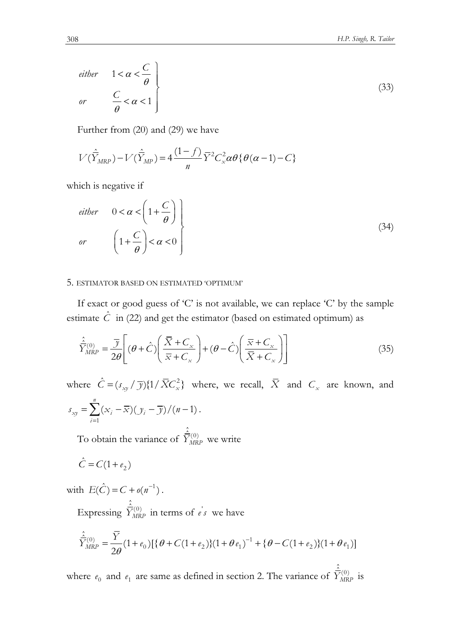$$
either \quad 1 < \alpha < \frac{C}{\theta} \}
$$
\n
$$
or \quad \frac{C}{\theta} < \alpha < 1 \tag{33}
$$

Further from (20) and (29) we have

$$
V(\hat{\overline{Y}}_{MRP}) - V(\hat{\overline{Y}}_{MP}) = 4 \frac{(1-f)}{n} \overline{Y}^2 C_x^2 \alpha \theta \{ \theta(\alpha - 1) - C \}
$$

which is negative if

*either* 
$$
0 < \alpha < \left(1 + \frac{C}{\theta}\right)
$$
  
\n*or*  $\left(1 + \frac{C}{\theta}\right) < \alpha < 0$   $\left(\right)$  (34)

# 5. ESTIMATOR BASED ON ESTIMATED 'OPTIMUM'

If exact or good guess of 'C' is not available, we can replace 'C' by the sample estimate  $\hat{C}$  in (22) and get the estimator (based on estimated optimum) as

$$
\hat{\overline{Y}}_{MRP}^{(0)} = \frac{\overline{y}}{2\theta} \left[ (\theta + \hat{C}) \left( \frac{\overline{X} + C_{x}}{\overline{x} + C_{x}} \right) + (\theta - \hat{C}) \left( \frac{\overline{x} + C_{x}}{\overline{X} + C_{x}} \right) \right]
$$
(35)

where  $\hat{C} = (s_{xy} / \overline{\mathcal{Y}})\{1/\bar{X}C_x^2\}$  where, we recall,  $\overline{X}$  and  $C_x$  are known, and 1  $(x_i - \overline{x})(y_i - \overline{y})/(n-1)$ *n*  $\mathbf{x}$ *y*  $\mathbf{Z} \setminus \mathbf{x}$ <sub>*i*</sub>  $\mathbf{x}$   $\mathbf{y}$ *i*  $s_{xy} = \sum (x_i - \overline{x})(y_i - \overline{y})/(n + \overline{y})$  $=$  $=\sum (x_i-\overline{x})(y_i-\overline{y})/(n-1)$ .

To obtain the variance of  $\hat{\overline{Y}}_{MRP}^{(0)}$  we write

$$
\hat{C} = C(1 + e_2)
$$

with  $E(\hat{C}) = C + o(n^{-1})$ .

Expressing  $\hat{\overline{Y}}_{MRP}^{(0)}$  in terms of  $e's$  we have

$$
\hat{\bar{Y}}^{(0)}_{MRP} = \frac{\overline{Y}}{2\theta} (1 + e_0) \left[ \{ \theta + C(1 + e_2) \} (1 + \theta e_1)^{-1} + \{ \theta - C(1 + e_2) \} (1 + \theta e_1) \right]
$$

where  $e_0$  and  $e_1$  are same as defined in section 2. The variance of  $\hat{\overline{Y}}_{MRP}^{(0)}$  is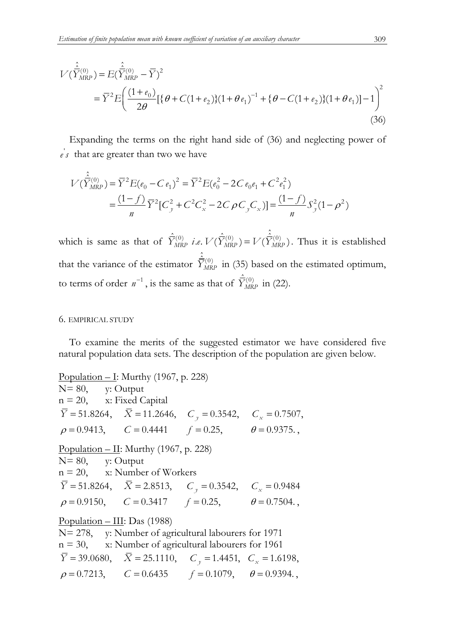$$
V(\hat{\tilde{Y}}_{MRP}^{(0)}) = E(\hat{\tilde{Y}}_{MRP}^{(0)} - \overline{Y})^2
$$
  
=  $\overline{Y}^2 E\left(\frac{(1+e_0)}{2\theta}[\{\theta + C(1+e_2)\}(1+\theta e_1)^{-1} + \{\theta - C(1+e_2)\}(1+\theta e_1)]^{-1}\right)^2$  (36)

Expanding the terms on the right hand side of (36) and neglecting power of  $e's$  that are greater than two we have

$$
V(\hat{\overline{Y}}_{MRP}^{(0)}) = \overline{Y}^2 E(e_0 - C e_1)^2 = \overline{Y}^2 E(e_0^2 - 2C e_0 e_1 + C^2 e_1^2)
$$
  
= 
$$
\frac{(1 - f)}{n} \overline{Y}^2 [C_y^2 + C^2 C_x^2 - 2C \rho C_y C_x] = \frac{(1 - f)}{n} S_y^2 (1 - \rho^2)
$$

which is same as that of  $\hat{Y}_{MRP}^{(0)}$  *i.e.*  $V(\hat{Y}_{MRP}^{(0)}) = V(\hat{Y}_{MRP}^{(0)})$ . Thus it is established that the variance of the estimator  $\hat{\vec{Y}}^{(0)}_{MRP}$  in (35) based on the estimated optimum, to terms of order  $n^{-1}$ , is the same as that of  $\hat{\overline{Y}}_{MRP}^{(0)}$  in (22).

# 6. EMPIRICAL STUDY

To examine the merits of the suggested estimator we have considered five natural population data sets. The description of the population are given below.

Population  $\overline{-1}$ : Murthy (1967, p. 228) N= 80, y: Output  $n = 20$ , x: Fixed Capital  $\overline{Y} = 51.8264$ ,  $\overline{X} = 11.2646$ ,  $C_y = 0.3542$ ,  $C_x = 0.7507$ ,  $\rho = 0.9413$ ,  $C = 0.4441$   $f = 0.25$ ,  $\theta = 0.9375$ . Population – II: Murthy (1967, p. 228) N= 80, y: Output  $n = 20$ , x: Number of Workers  $\overline{Y} = 51.8264$ ,  $\overline{X} = 2.8513$ ,  $C_y = 0.3542$ ,  $C_x = 0.9484$  $\rho = 0.9150,$   $C = 0.3417$   $f = 0.25,$   $\theta = 0.7504.$ Population – III: Das (1988) N= 278, y: Number of agricultural labourers for 1971  $n = 30$ , x: Number of agricultural labourers for 1961  $\overline{Y}$  = 39.0680,  $\overline{X}$  = 25.1110,  $C_y$  = 1.4451,  $C_x$  = 1.6198,  $\rho = 0.7213$ ,  $C = 0.6435$   $f = 0.1079$ ,  $\theta = 0.9394$ .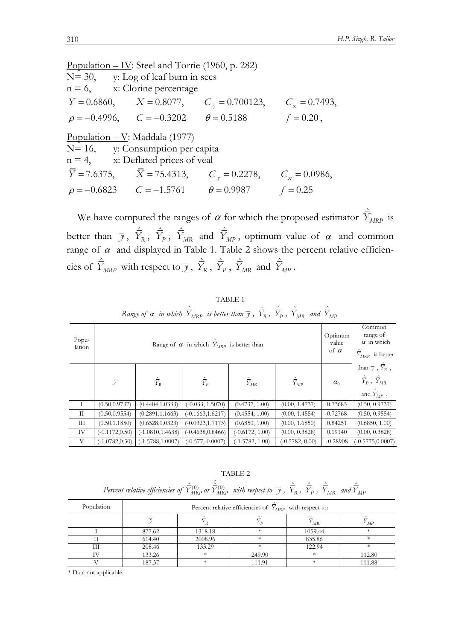Population – IV: Steel and Torrie (1960, p. 282) N= 30, y: Log of leaf burn in secs  $n = 6$ , x: Clorine percentage  $\overline{Y} = 0.6860,$   $\overline{X} = 0.8077,$   $C_y = 0.700123,$   $C_x = 0.7493,$ <br>  $\rho = -0.4996,$   $C = -0.3202$   $\theta = 0.5188$   $f = 0.20$ ,  $\rho = -0.4996, \qquad C = -0.3202 \qquad \theta = 0.5188$ Population – V: Maddala (1977) N= 16, y: Consumption per capita n = 4, x: Deflated prices of veal<br> $\overline{Y}$  = 7.6375,  $\overline{X}$  = 75.4313, C  $C_y = 0.2278$ ,  $C_x = 0.0986$ ,  $\rho = -0.6823$   $C = -1.5761$   $\theta = 0.9987$   $f = 0.25$ 

We have computed the ranges of  $\alpha$  for which the proposed estimator  $\hat{\overline{Y}}_{MRP}$  is better than  $\bar{y}$ ,  $\hat{Y}_R$ ,  $\hat{Y}_P$ ,  $\hat{Y}_{MR}$  and  $\hat{Y}_{MP}$ , optimum value of  $\alpha$  and common range of  $\alpha$  and displayed in Table 1. Table 2 shows the percent relative efficiencies of  $\hat{\bar{Y}}_{MRP}$  with respect to  $\bar{y}$ ,  $\hat{\bar{Y}}_R$ ,  $\hat{\bar{Y}}_P$ ,  $\hat{\bar{Y}}_{MR}$  and  $\hat{\bar{Y}}_{MP}$ .

| Popu-<br>lation |                   | Optimum<br>value<br>of $\alpha$ | Common<br>range of<br>$\alpha$ in which<br>$\hat{\overline{Y}}_{MRP}$ is better |                      |                      |            |                                                                                                                     |
|-----------------|-------------------|---------------------------------|---------------------------------------------------------------------------------|----------------------|----------------------|------------|---------------------------------------------------------------------------------------------------------------------|
|                 | $\overline{y}$    | $\hat{\bar{Y}}_R$               | $\hat{\overline{Y}}_p$                                                          | $\hat{\bar{Y}}_{MR}$ | $\hat{\bar{Y}}_{MP}$ | $\alpha_0$ | than $\bar{y}$ , $\hat{\bar{Y}}_R$ ,<br>$\hat{\bar{Y}}_P$ , $\hat{\bar{Y}}_{MR}$<br>and $\hat{\overline{Y}}_{MP}$ . |
| $\;$ I $\;$     | (0.50, 0.9737)    | (0.4404, 1.0333)                | $(-0.033, 1.5070)$                                                              | (0.4737, 1.00)       | (0.00, 1.4737)       | 0.73685    | (0.50, 0.9737)                                                                                                      |
| $\rm{II}$       | (0.50, 0.9554)    | (0.2891, 1.1663)                | $(-0.1663, 1.6217)$                                                             | (0.4554, 1.00)       | (0.00, 1.4554)       | 0.72768    | (0.50, 0.9554)                                                                                                      |
| Ш               | (0.50, 1.1850)    | (0.6528, 1.0323)                | $(-0.0323, 1.7173)$                                                             | (0.6850, 1.00)       | (0.00, 1.6850)       | 0.84251    | (0.6850, 1.00)                                                                                                      |
| IV              | $(-0.1172, 0.50)$ | $(-1.0810, 1.4638)$             | $(-0.4638, 0.8466)$                                                             | $(-0.6172, 1.00)$    | (0.00, 0.3828)       | 0.19140    | (0.00, 0.3828)                                                                                                      |
| V               | $(-1.0782, 0.50)$ | $(-1.5788, 1.0007)$             | $(-0.577,-0.0007)$                                                              | $(-1.5782, 1.00)$    | $(-0.5782, 0.00)$    | $-0.28908$ | $(-0.5775, 0.0007)$                                                                                                 |

TABLE 1  $R$ ange of  $\alpha$  in which  $\hat{\overline{Y}}_{MRP}$  is better than  $\overline{y}$  ,  $\hat{\overline{Y}}_{R}$  ,  $\hat{\overline{Y}}_{P}$  ,  $\hat{\overline{Y}}_{MR}$  and  $\hat{\overline{Y}}_{MR}$ 

TABLE 2

*Percent relative efficiencies of*  $\hat{\bar{Y}}^{(0)}_{MRP}$  *or*  $\hat{\bar{Y}}^{(0)}_{MRP}$  *with respect to*  $\bar{y}$  *,*  $\hat{\bar{Y}}_{R}$  *,*  $\hat{\bar{Y}}_{P}$  *,*  $\hat{\bar{Y}}_{MR}$  *and*  $\hat{\bar{Y}}_{MF}$ 

| Population |        | Percent relative efficiencies of $Y_{MRP}$ with respect to: |        |                                 |            |  |
|------------|--------|-------------------------------------------------------------|--------|---------------------------------|------------|--|
|            |        |                                                             |        | $^{\varUpsilon}{}_{M \text{R}}$ | $\cdot$ MP |  |
|            | 877.62 | 1318.18                                                     | *      | 1059.44                         |            |  |
|            | 614.40 | 2008.96                                                     | $\ast$ | 835.86                          |            |  |
| Ш          | 208.46 | 133.29                                                      | $\ast$ | 122.94                          |            |  |
|            | 133.26 | ж                                                           | 249.90 | ∗                               | 112.80     |  |
|            | 187.37 | $\ast$                                                      | 111.91 | $\ast$                          | 111.88     |  |

\* Data not applicable.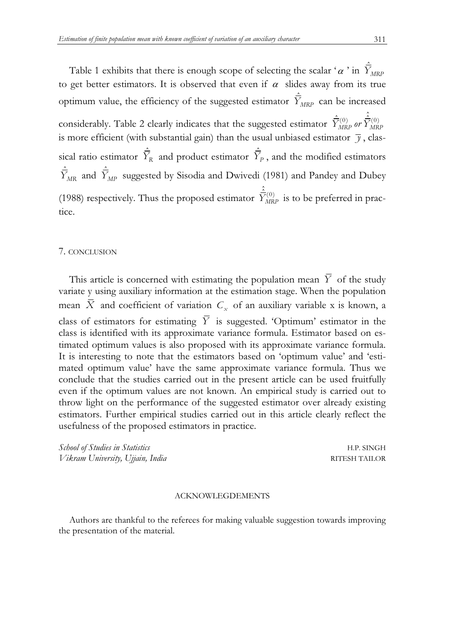Table 1 exhibits that there is enough scope of selecting the scalar ' $\alpha$ ' in  $\bar{Y}_{MRP}$ to get better estimators. It is observed that even if  $\alpha$  slides away from its true optimum value, the efficiency of the suggested estimator  $\hat{\bar{Y}}_{MRP}$  can be increased considerably. Table 2 clearly indicates that the suggested estimator  $\hat{\bar{Y}}^{(0)}_{MRP}$  or  $\hat{\bar{Y}}^{(0)}_{MRP}$ is more efficient (with substantial gain) than the usual unbiased estimator  $\bar{y}$ , classical ratio estimator  $\hat{\overline{Y}}_R$  and product estimator  $\hat{\overline{Y}}_P$ , and the modified estimators  $\hat{\bar{Y}}_{MR}$  and  $\hat{\bar{Y}}_{MP}$  suggested by Sisodia and Dwivedi (1981) and Pandey and Dubey (1988) respectively. Thus the proposed estimator  $\hat{\overline{Y}}_{MRP}^{(0)}$  is to be preferred in practice.

# 7. CONCLUSION

This article is concerned with estimating the population mean  $\overline{Y}$  of the study variate y using auxiliary information at the estimation stage. When the population mean *X* and coefficient of variation  $C_x$  of an auxiliary variable x is known, a class of estimators for estimating  $\overline{Y}$  is suggested. 'Optimum' estimator in the class is identified with its approximate variance formula. Estimator based on estimated optimum values is also proposed with its approximate variance formula. It is interesting to note that the estimators based on 'optimum value' and 'estimated optimum value' have the same approximate variance formula. Thus we conclude that the studies carried out in the present article can be used fruitfully even if the optimum values are not known. An empirical study is carried out to throw light on the performance of the suggested estimator over already existing estimators. Further empirical studies carried out in this article clearly reflect the usefulness of the proposed estimators in practice.

*School of Studies in Statistics* H.P. SINGH *Vikram University, Ujjain, India* RITESH TAILOR

# ACKNOWLEGDEMENTS

Authors are thankful to the referees for making valuable suggestion towards improving the presentation of the material.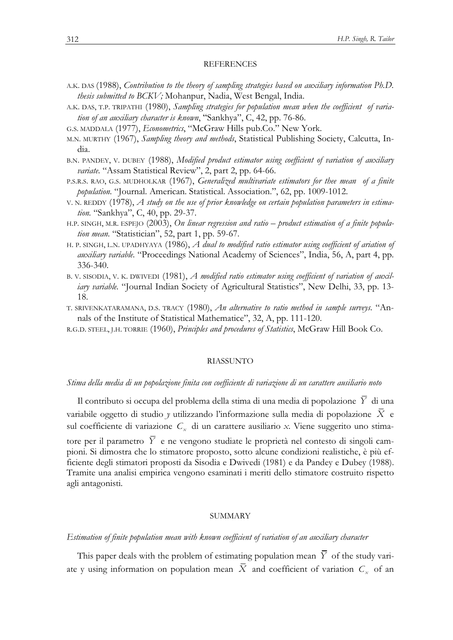### **REFERENCES**

- <sup>A</sup>.K. DAS (1988), *Contribution to the theory of sampling strategies based on auxiliary information Ph.D. thesis submitted to BCKV;* Mohanpur, Nadia, West Bengal, India.
- A.K. DAS, T.P. TRIPATHI (1980), *Sampling strategies for population mean when the coefficient of variation of an auxiliary character is known*, "Sankhya", C, 42, pp. 76-86.
- <sup>G</sup>.S. MADDALA (1977), *Econometrics*, "McGraw Hills pub.Co." New York.
- M.N. MURTHY (1967), *Sampling theory and methods*, Statistical Publishing Society, Calcutta, India.
- <sup>B</sup>.N. PANDEY, V. DUBEY (1988), *Modified product estimator using coefficient of variation of auxiliary variate.* "Assam Statistical Review", 2, part 2, pp. 64-66.
- <sup>P</sup>.S.R.S. RAO, G.S. MUDHOLKAR (1967), *Generalized multivariate estimators for thee mean of a finite population.* "Journal. American. Statistical. Association.", 62, pp. 1009-1012.
- V. N. REDDY (1978), *A study on the use of prior knowledge on certain population parameters in estimation.* "Sankhya", C, 40, pp. 29-37.
- H.P. SINGH, M.R. ESPEJO (2003), *On linear regression and ratio product estimation of a finite population mean.* "Statistician", 52, part 1, pp. 59-67.
- <sup>H</sup>. P. SINGH, L.N. UPADHYAYA (1986), *A dual to modified ratio estimator using coefficient of ariation of auxiliary variable.* "Proceedings National Academy of Sciences", India, 56, A, part 4, pp. 336-340.
- B. V. SISODIA, V. K. DWIVEDI (1981), *A modified ratio estimator using coefficient of variation of auxiliary variable.* "Journal Indian Society of Agricultural Statistics", New Delhi, 33, pp. 13- 18.
- T. SRIVENKATARAMANA, D.S. TRACY (1980), *An alternative to ratio method in sample surveys.* "Annals of the Institute of Statistical Mathematice", 32, A, pp. 111-120.
- <sup>R</sup>.G.D. STEEL, J.H. TORRIE (1960), *Principles and procedures of Statistics*, McGraw Hill Book Co.

### RIASSUNTO

## *Stima della media di un popolazione finita con coefficiente di variazione di un carattere ausiliario noto*

Il contributo si occupa del problema della stima di una media di popolazione *Y* di una variabile oggetto di studio *y* utilizzando l'informazione sulla media di popolazione *X* e sul coefficiente di variazione *C<sup>x</sup>* di un carattere ausiliario *x*. Viene suggerito uno stimatore per il parametro  $\overline{Y}$  e ne vengono studiate le proprietà nel contesto di singoli campioni. Si dimostra che lo stimatore proposto, sotto alcune condizioni realistiche, è più efficiente degli stimatori proposti da Sisodia e Dwivedi (1981) e da Pandey e Dubey (1988). Tramite una analisi empirica vengono esaminati i meriti dello stimatore costruito rispetto agli antagonisti.

### SUMMARY

## *Estimation of finite population mean with known coefficient of variation of an auxiliary character*

This paper deals with the problem of estimating population mean  $\overline{Y}$  of the study variate y using information on population mean *X* and coefficient of variation *C<sup>x</sup>* of an